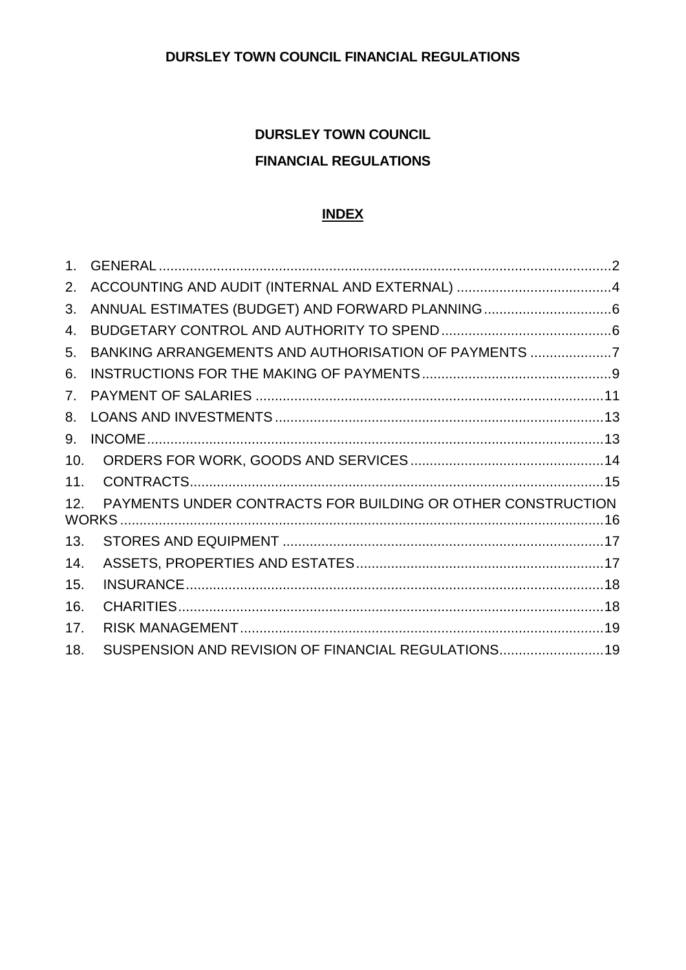# **DURSLEY TOWN COUNCIL FINANCIAL REGULATIONS**

# **INDEX**

| 2.  |                                                             |  |
|-----|-------------------------------------------------------------|--|
| 3.  |                                                             |  |
| 4.  |                                                             |  |
| 5.  | BANKING ARRANGEMENTS AND AUTHORISATION OF PAYMENTS 7        |  |
| 6.  |                                                             |  |
| 7.  |                                                             |  |
| 8.  |                                                             |  |
| 9.  |                                                             |  |
| 10. |                                                             |  |
| 11. |                                                             |  |
| 12. | PAYMENTS UNDER CONTRACTS FOR BUILDING OR OTHER CONSTRUCTION |  |
| 13. |                                                             |  |
| 14. |                                                             |  |
| 15. |                                                             |  |
| 16. |                                                             |  |
| 17. |                                                             |  |
| 18. | SUSPENSION AND REVISION OF FINANCIAL REGULATIONS19          |  |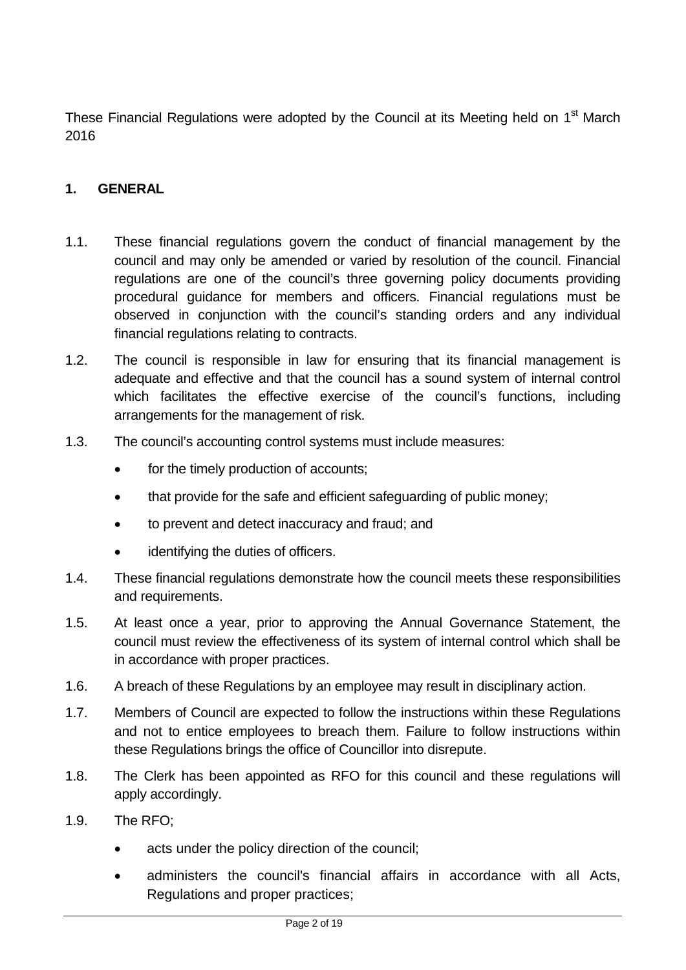These Financial Regulations were adopted by the Council at its Meeting held on 1<sup>st</sup> March 2016

## <span id="page-1-0"></span>**1. GENERAL**

- 1.1. These financial regulations govern the conduct of financial management by the council and may only be amended or varied by resolution of the council. Financial regulations are one of the council's three governing policy documents providing procedural guidance for members and officers. Financial regulations must be observed in conjunction with the council's standing orders and any individual financial regulations relating to contracts.
- 1.2. The council is responsible in law for ensuring that its financial management is adequate and effective and that the council has a sound system of internal control which facilitates the effective exercise of the council's functions, including arrangements for the management of risk.
- 1.3. The council's accounting control systems must include measures:
	- for the timely production of accounts;
	- that provide for the safe and efficient safeguarding of public money;
	- to prevent and detect inaccuracy and fraud; and
	- identifying the duties of officers.
- 1.4. These financial regulations demonstrate how the council meets these responsibilities and requirements.
- 1.5. At least once a year, prior to approving the Annual Governance Statement, the council must review the effectiveness of its system of internal control which shall be in accordance with proper practices.
- 1.6. A breach of these Regulations by an employee may result in disciplinary action.
- 1.7. Members of Council are expected to follow the instructions within these Regulations and not to entice employees to breach them. Failure to follow instructions within these Regulations brings the office of Councillor into disrepute.
- 1.8. The Clerk has been appointed as RFO for this council and these regulations will apply accordingly.
- 1.9. The RFO;
	- acts under the policy direction of the council;
	- administers the council's financial affairs in accordance with all Acts, Regulations and proper practices;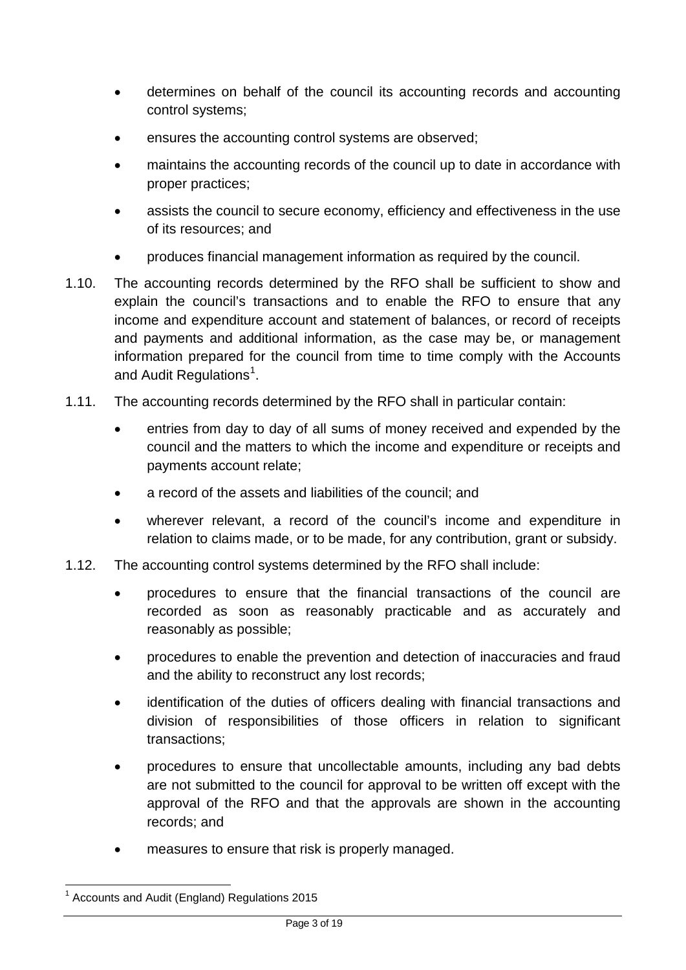- determines on behalf of the council its accounting records and accounting control systems;
- ensures the accounting control systems are observed;
- maintains the accounting records of the council up to date in accordance with proper practices;
- assists the council to secure economy, efficiency and effectiveness in the use of its resources; and
- produces financial management information as required by the council.
- 1.10. The accounting records determined by the RFO shall be sufficient to show and explain the council's transactions and to enable the RFO to ensure that any income and expenditure account and statement of balances, or record of receipts and payments and additional information, as the case may be, or management information prepared for the council from time to time comply with the Accounts and Audit Regulations<sup>[1](#page-2-0)</sup>.
- 1.11. The accounting records determined by the RFO shall in particular contain:
	- entries from day to day of all sums of money received and expended by the council and the matters to which the income and expenditure or receipts and payments account relate;
	- a record of the assets and liabilities of the council; and
	- wherever relevant, a record of the council's income and expenditure in relation to claims made, or to be made, for any contribution, grant or subsidy.
- 1.12. The accounting control systems determined by the RFO shall include:
	- procedures to ensure that the financial transactions of the council are recorded as soon as reasonably practicable and as accurately and reasonably as possible;
	- procedures to enable the prevention and detection of inaccuracies and fraud and the ability to reconstruct any lost records;
	- identification of the duties of officers dealing with financial transactions and division of responsibilities of those officers in relation to significant transactions;
	- procedures to ensure that uncollectable amounts, including any bad debts are not submitted to the council for approval to be written off except with the approval of the RFO and that the approvals are shown in the accounting records; and
	- measures to ensure that risk is properly managed.

<span id="page-2-0"></span> $1$  Accounts and Audit (England) Regulations 2015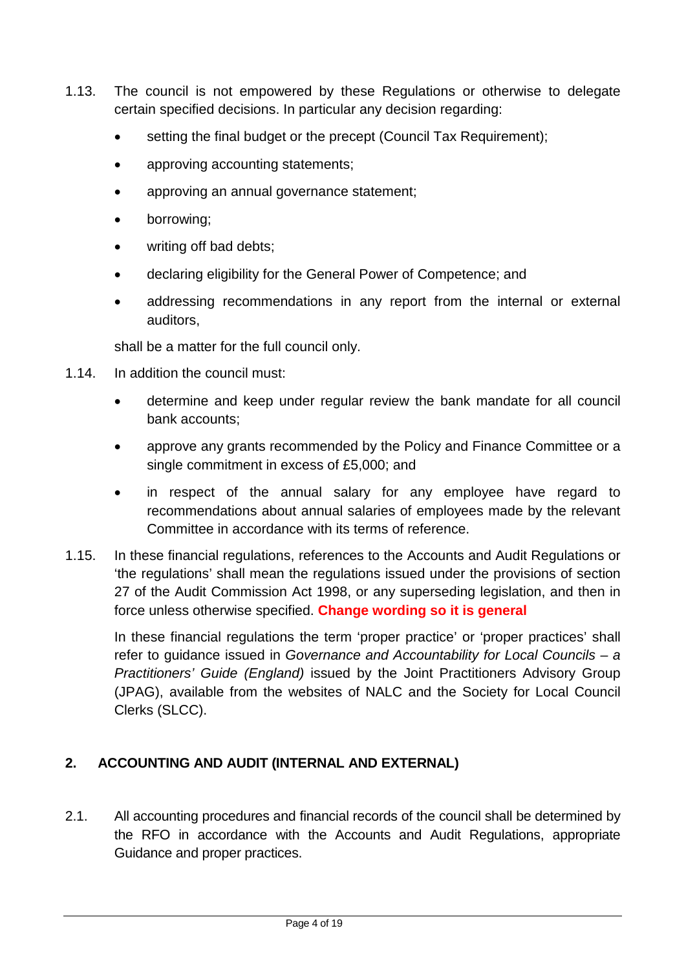- 1.13. The council is not empowered by these Regulations or otherwise to delegate certain specified decisions. In particular any decision regarding:
	- setting the final budget or the precept (Council Tax Requirement);
	- approving accounting statements;
	- approving an annual governance statement;
	- borrowing;
	- writing off bad debts;
	- declaring eligibility for the General Power of Competence; and
	- addressing recommendations in any report from the internal or external auditors,

shall be a matter for the full council only.

- 1.14. In addition the council must:
	- determine and keep under regular review the bank mandate for all council bank accounts;
	- approve any grants recommended by the Policy and Finance Committee or a single commitment in excess of £5,000; and
	- in respect of the annual salary for any employee have regard to recommendations about annual salaries of employees made by the relevant Committee in accordance with its terms of reference.
- 1.15. In these financial regulations, references to the Accounts and Audit Regulations or 'the regulations' shall mean the regulations issued under the provisions of section 27 of the Audit Commission Act 1998, or any superseding legislation, and then in force unless otherwise specified. **Change wording so it is general**

In these financial regulations the term 'proper practice' or 'proper practices' shall refer to guidance issued in *Governance and Accountability for Local Councils – a Practitioners' Guide (England)* issued by the Joint Practitioners Advisory Group (JPAG), available from the websites of NALC and the Society for Local Council Clerks (SLCC).

# <span id="page-3-0"></span>**2. ACCOUNTING AND AUDIT (INTERNAL AND EXTERNAL)**

2.1. All accounting procedures and financial records of the council shall be determined by the RFO in accordance with the Accounts and Audit Regulations, appropriate Guidance and proper practices.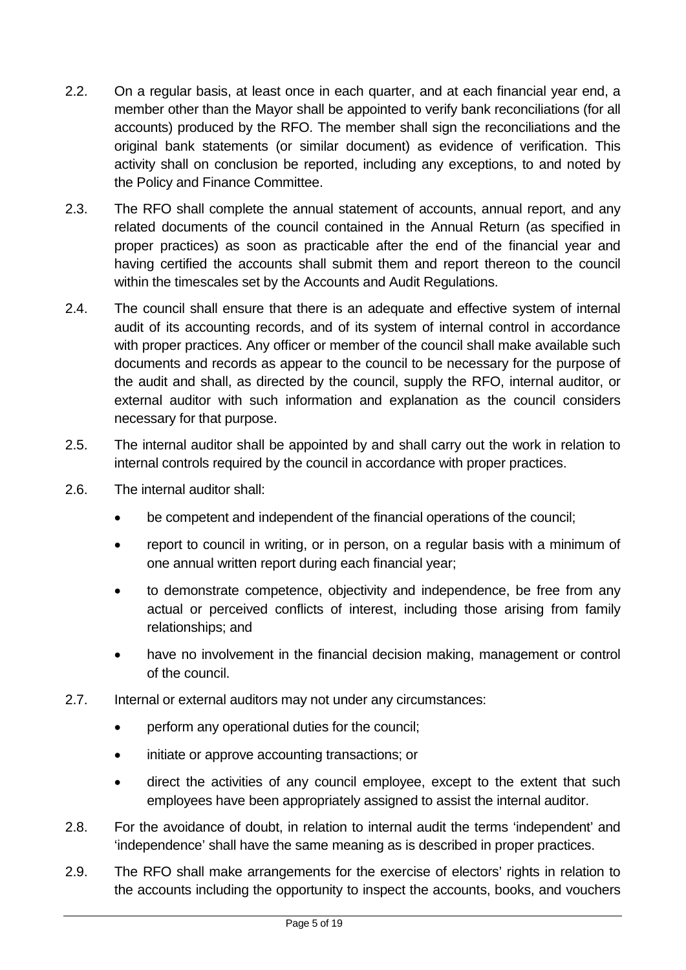- 2.2. On a regular basis, at least once in each quarter, and at each financial year end, a member other than the Mayor shall be appointed to verify bank reconciliations (for all accounts) produced by the RFO. The member shall sign the reconciliations and the original bank statements (or similar document) as evidence of verification. This activity shall on conclusion be reported, including any exceptions, to and noted by the Policy and Finance Committee.
- 2.3. The RFO shall complete the annual statement of accounts, annual report, and any related documents of the council contained in the Annual Return (as specified in proper practices) as soon as practicable after the end of the financial year and having certified the accounts shall submit them and report thereon to the council within the timescales set by the Accounts and Audit Regulations.
- 2.4. The council shall ensure that there is an adequate and effective system of internal audit of its accounting records, and of its system of internal control in accordance with proper practices. Any officer or member of the council shall make available such documents and records as appear to the council to be necessary for the purpose of the audit and shall, as directed by the council, supply the RFO, internal auditor, or external auditor with such information and explanation as the council considers necessary for that purpose.
- 2.5. The internal auditor shall be appointed by and shall carry out the work in relation to internal controls required by the council in accordance with proper practices.
- 2.6. The internal auditor shall:
	- be competent and independent of the financial operations of the council;
	- report to council in writing, or in person, on a regular basis with a minimum of one annual written report during each financial year;
	- to demonstrate competence, objectivity and independence, be free from any actual or perceived conflicts of interest, including those arising from family relationships; and
	- have no involvement in the financial decision making, management or control of the council.
- 2.7. Internal or external auditors may not under any circumstances:
	- perform any operational duties for the council;
	- initiate or approve accounting transactions; or
	- direct the activities of any council employee, except to the extent that such employees have been appropriately assigned to assist the internal auditor.
- 2.8. For the avoidance of doubt, in relation to internal audit the terms 'independent' and 'independence' shall have the same meaning as is described in proper practices.
- 2.9. The RFO shall make arrangements for the exercise of electors' rights in relation to the accounts including the opportunity to inspect the accounts, books, and vouchers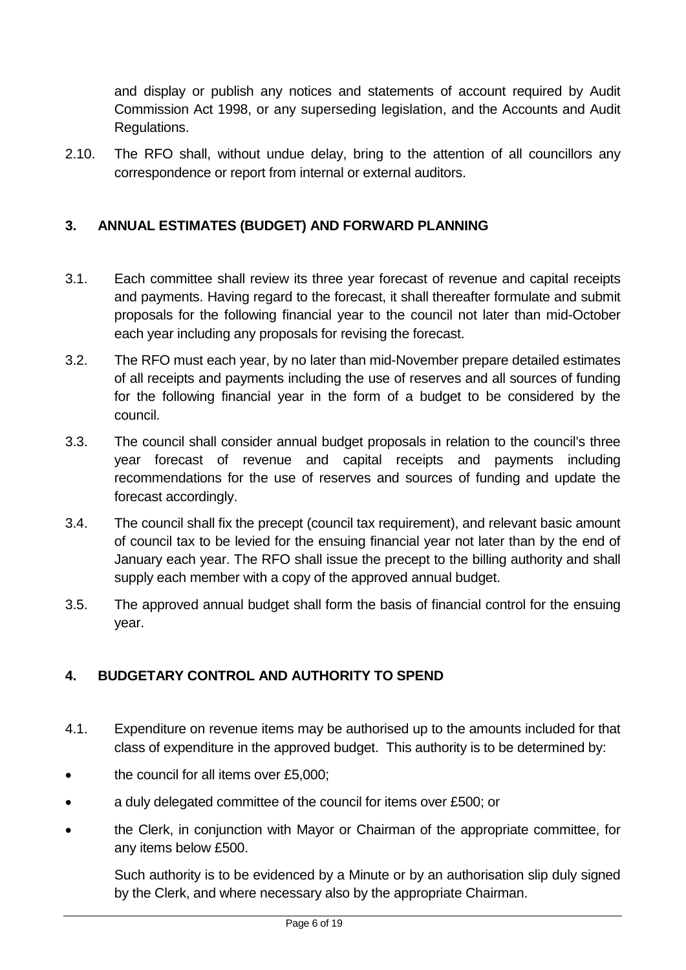and display or publish any notices and statements of account required by Audit Commission Act 1998, or any superseding legislation, and the Accounts and Audit Regulations.

2.10. The RFO shall, without undue delay, bring to the attention of all councillors any correspondence or report from internal or external auditors.

## <span id="page-5-0"></span>**3. ANNUAL ESTIMATES (BUDGET) AND FORWARD PLANNING**

- 3.1. Each committee shall review its three year forecast of revenue and capital receipts and payments. Having regard to the forecast, it shall thereafter formulate and submit proposals for the following financial year to the council not later than mid-October each year including any proposals for revising the forecast.
- 3.2. The RFO must each year, by no later than mid-November prepare detailed estimates of all receipts and payments including the use of reserves and all sources of funding for the following financial year in the form of a budget to be considered by the council.
- 3.3. The council shall consider annual budget proposals in relation to the council's three year forecast of revenue and capital receipts and payments including recommendations for the use of reserves and sources of funding and update the forecast accordingly.
- 3.4. The council shall fix the precept (council tax requirement), and relevant basic amount of council tax to be levied for the ensuing financial year not later than by the end of January each year. The RFO shall issue the precept to the billing authority and shall supply each member with a copy of the approved annual budget.
- 3.5. The approved annual budget shall form the basis of financial control for the ensuing year.

# <span id="page-5-1"></span>**4. BUDGETARY CONTROL AND AUTHORITY TO SPEND**

- 4.1. Expenditure on revenue items may be authorised up to the amounts included for that class of expenditure in the approved budget. This authority is to be determined by:
- the council for all items over £5,000;
- a duly delegated committee of the council for items over £500; or
- the Clerk, in conjunction with Mayor or Chairman of the appropriate committee, for any items below £500.

Such authority is to be evidenced by a Minute or by an authorisation slip duly signed by the Clerk, and where necessary also by the appropriate Chairman.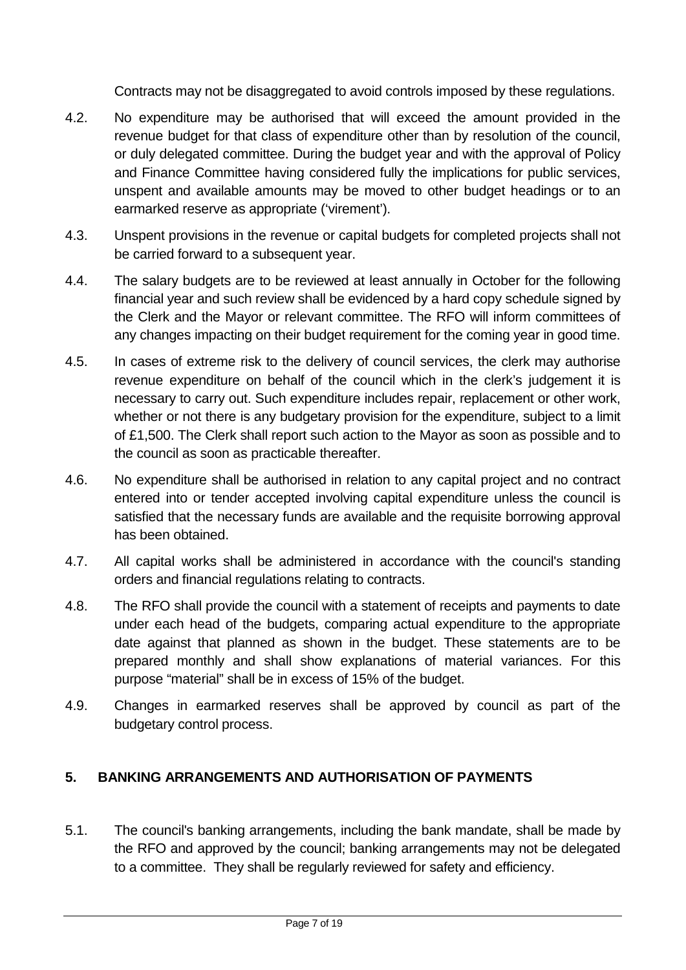Contracts may not be disaggregated to avoid controls imposed by these regulations.

- 4.2. No expenditure may be authorised that will exceed the amount provided in the revenue budget for that class of expenditure other than by resolution of the council, or duly delegated committee. During the budget year and with the approval of Policy and Finance Committee having considered fully the implications for public services, unspent and available amounts may be moved to other budget headings or to an earmarked reserve as appropriate ('virement').
- 4.3. Unspent provisions in the revenue or capital budgets for completed projects shall not be carried forward to a subsequent year.
- 4.4. The salary budgets are to be reviewed at least annually in October for the following financial year and such review shall be evidenced by a hard copy schedule signed by the Clerk and the Mayor or relevant committee. The RFO will inform committees of any changes impacting on their budget requirement for the coming year in good time.
- 4.5. In cases of extreme risk to the delivery of council services, the clerk may authorise revenue expenditure on behalf of the council which in the clerk's judgement it is necessary to carry out. Such expenditure includes repair, replacement or other work, whether or not there is any budgetary provision for the expenditure, subject to a limit of £1,500. The Clerk shall report such action to the Mayor as soon as possible and to the council as soon as practicable thereafter.
- 4.6. No expenditure shall be authorised in relation to any capital project and no contract entered into or tender accepted involving capital expenditure unless the council is satisfied that the necessary funds are available and the requisite borrowing approval has been obtained.
- 4.7. All capital works shall be administered in accordance with the council's standing orders and financial regulations relating to contracts.
- 4.8. The RFO shall provide the council with a statement of receipts and payments to date under each head of the budgets, comparing actual expenditure to the appropriate date against that planned as shown in the budget. These statements are to be prepared monthly and shall show explanations of material variances. For this purpose "material" shall be in excess of 15% of the budget.
- 4.9. Changes in earmarked reserves shall be approved by council as part of the budgetary control process.

# <span id="page-6-0"></span>**5. BANKING ARRANGEMENTS AND AUTHORISATION OF PAYMENTS**

5.1. The council's banking arrangements, including the bank mandate, shall be made by the RFO and approved by the council; banking arrangements may not be delegated to a committee. They shall be regularly reviewed for safety and efficiency.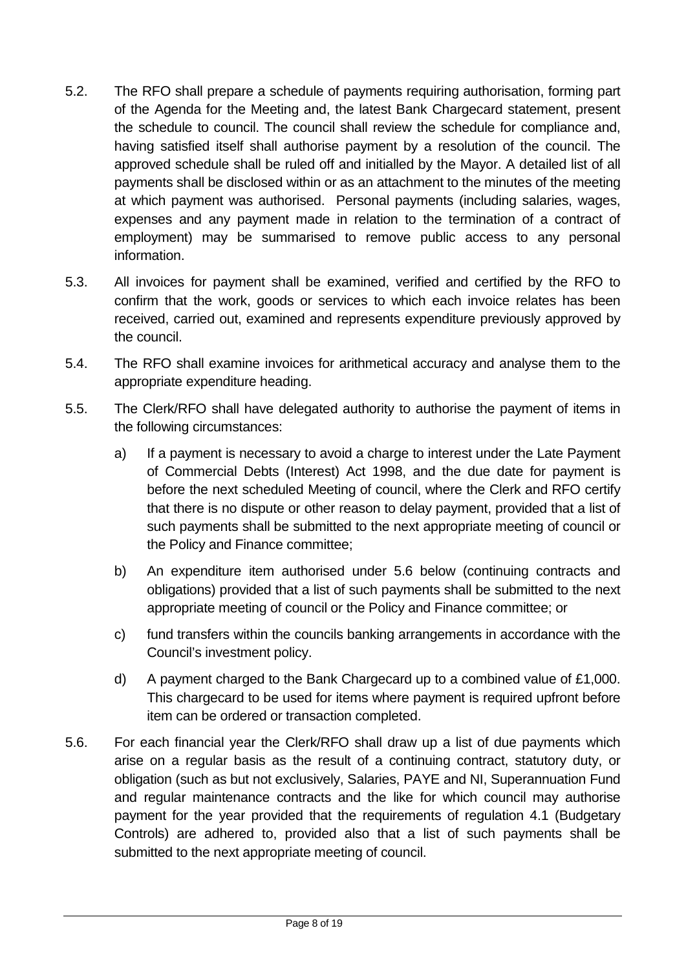- 5.2. The RFO shall prepare a schedule of payments requiring authorisation, forming part of the Agenda for the Meeting and, the latest Bank Chargecard statement, present the schedule to council. The council shall review the schedule for compliance and, having satisfied itself shall authorise payment by a resolution of the council. The approved schedule shall be ruled off and initialled by the Mayor. A detailed list of all payments shall be disclosed within or as an attachment to the minutes of the meeting at which payment was authorised. Personal payments (including salaries, wages, expenses and any payment made in relation to the termination of a contract of employment) may be summarised to remove public access to any personal information.
- 5.3. All invoices for payment shall be examined, verified and certified by the RFO to confirm that the work, goods or services to which each invoice relates has been received, carried out, examined and represents expenditure previously approved by the council.
- 5.4. The RFO shall examine invoices for arithmetical accuracy and analyse them to the appropriate expenditure heading.
- 5.5. The Clerk/RFO shall have delegated authority to authorise the payment of items in the following circumstances:
	- a) If a payment is necessary to avoid a charge to interest under the Late Payment of Commercial Debts (Interest) Act 1998, and the due date for payment is before the next scheduled Meeting of council, where the Clerk and RFO certify that there is no dispute or other reason to delay payment, provided that a list of such payments shall be submitted to the next appropriate meeting of council or the Policy and Finance committee;
	- b) An expenditure item authorised under 5.6 below (continuing contracts and obligations) provided that a list of such payments shall be submitted to the next appropriate meeting of council or the Policy and Finance committee; or
	- c) fund transfers within the councils banking arrangements in accordance with the Council's investment policy.
	- d) A payment charged to the Bank Chargecard up to a combined value of  $£1,000$ . This chargecard to be used for items where payment is required upfront before item can be ordered or transaction completed.
- 5.6. For each financial year the Clerk/RFO shall draw up a list of due payments which arise on a regular basis as the result of a continuing contract, statutory duty, or obligation (such as but not exclusively, Salaries, PAYE and NI, Superannuation Fund and regular maintenance contracts and the like for which council may authorise payment for the year provided that the requirements of regulation 4.1 (Budgetary Controls) are adhered to, provided also that a list of such payments shall be submitted to the next appropriate meeting of council.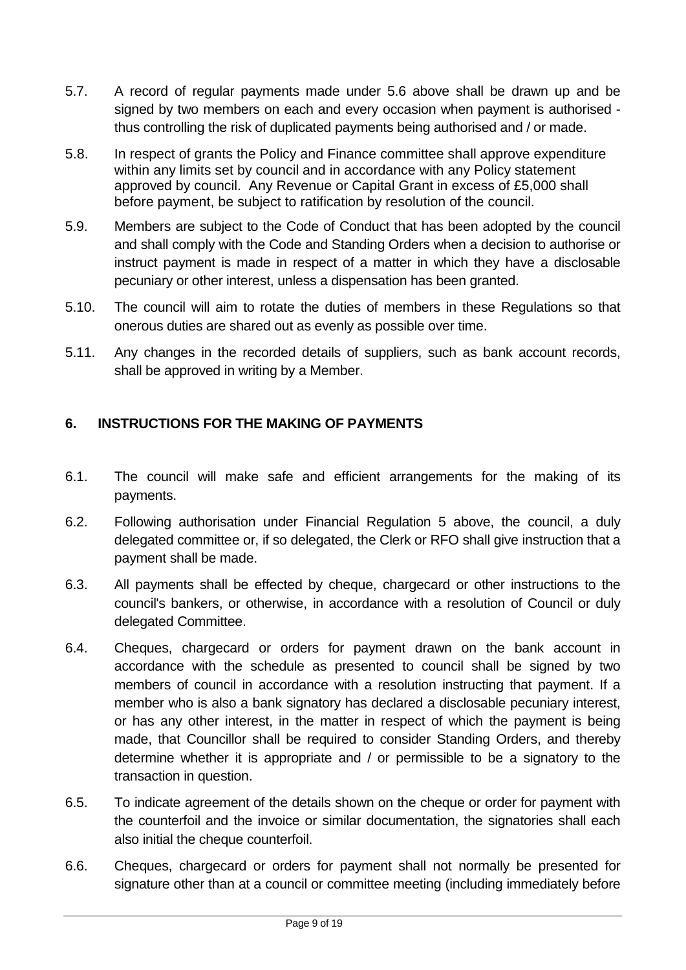- 5.7. A record of regular payments made under 5.6 above shall be drawn up and be signed by two members on each and every occasion when payment is authorised thus controlling the risk of duplicated payments being authorised and / or made.
- 5.8. In respect of grants the Policy and Finance committee shall approve expenditure within any limits set by council and in accordance with any Policy statement approved by council. Any Revenue or Capital Grant in excess of £5,000 shall before payment, be subject to ratification by resolution of the council.
- 5.9. Members are subject to the Code of Conduct that has been adopted by the council and shall comply with the Code and Standing Orders when a decision to authorise or instruct payment is made in respect of a matter in which they have a disclosable pecuniary or other interest, unless a dispensation has been granted.
- 5.10. The council will aim to rotate the duties of members in these Regulations so that onerous duties are shared out as evenly as possible over time.
- 5.11. Any changes in the recorded details of suppliers, such as bank account records, shall be approved in writing by a Member.

# <span id="page-8-0"></span>**6. INSTRUCTIONS FOR THE MAKING OF PAYMENTS**

- 6.1. The council will make safe and efficient arrangements for the making of its payments.
- 6.2. Following authorisation under Financial Regulation 5 above, the council, a duly delegated committee or, if so delegated, the Clerk or RFO shall give instruction that a payment shall be made.
- 6.3. All payments shall be effected by cheque, chargecard or other instructions to the council's bankers, or otherwise, in accordance with a resolution of Council or duly delegated Committee.
- 6.4. Cheques, chargecard or orders for payment drawn on the bank account in accordance with the schedule as presented to council shall be signed by two members of council in accordance with a resolution instructing that payment. If a member who is also a bank signatory has declared a disclosable pecuniary interest. or has any other interest, in the matter in respect of which the payment is being made, that Councillor shall be required to consider Standing Orders, and thereby determine whether it is appropriate and / or permissible to be a signatory to the transaction in question.
- 6.5. To indicate agreement of the details shown on the cheque or order for payment with the counterfoil and the invoice or similar documentation, the signatories shall each also initial the cheque counterfoil.
- 6.6. Cheques, chargecard or orders for payment shall not normally be presented for signature other than at a council or committee meeting (including immediately before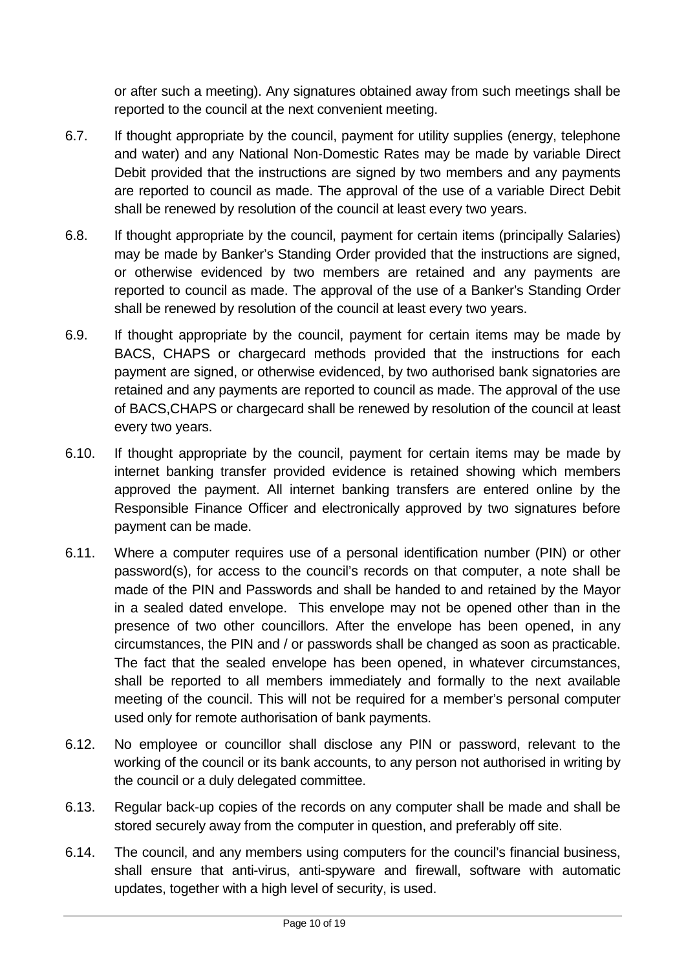or after such a meeting). Any signatures obtained away from such meetings shall be reported to the council at the next convenient meeting.

- 6.7. If thought appropriate by the council, payment for utility supplies (energy, telephone and water) and any National Non-Domestic Rates may be made by variable Direct Debit provided that the instructions are signed by two members and any payments are reported to council as made. The approval of the use of a variable Direct Debit shall be renewed by resolution of the council at least every two years.
- 6.8. If thought appropriate by the council, payment for certain items (principally Salaries) may be made by Banker's Standing Order provided that the instructions are signed, or otherwise evidenced by two members are retained and any payments are reported to council as made. The approval of the use of a Banker's Standing Order shall be renewed by resolution of the council at least every two years.
- 6.9. If thought appropriate by the council, payment for certain items may be made by BACS, CHAPS or chargecard methods provided that the instructions for each payment are signed, or otherwise evidenced, by two authorised bank signatories are retained and any payments are reported to council as made. The approval of the use of BACS,CHAPS or chargecard shall be renewed by resolution of the council at least every two years.
- 6.10. If thought appropriate by the council, payment for certain items may be made by internet banking transfer provided evidence is retained showing which members approved the payment. All internet banking transfers are entered online by the Responsible Finance Officer and electronically approved by two signatures before payment can be made.
- 6.11. Where a computer requires use of a personal identification number (PIN) or other password(s), for access to the council's records on that computer, a note shall be made of the PIN and Passwords and shall be handed to and retained by the Mayor in a sealed dated envelope. This envelope may not be opened other than in the presence of two other councillors. After the envelope has been opened, in any circumstances, the PIN and / or passwords shall be changed as soon as practicable. The fact that the sealed envelope has been opened, in whatever circumstances, shall be reported to all members immediately and formally to the next available meeting of the council. This will not be required for a member's personal computer used only for remote authorisation of bank payments.
- 6.12. No employee or councillor shall disclose any PIN or password, relevant to the working of the council or its bank accounts, to any person not authorised in writing by the council or a duly delegated committee.
- 6.13. Regular back-up copies of the records on any computer shall be made and shall be stored securely away from the computer in question, and preferably off site.
- 6.14. The council, and any members using computers for the council's financial business, shall ensure that anti-virus, anti-spyware and firewall, software with automatic updates, together with a high level of security, is used.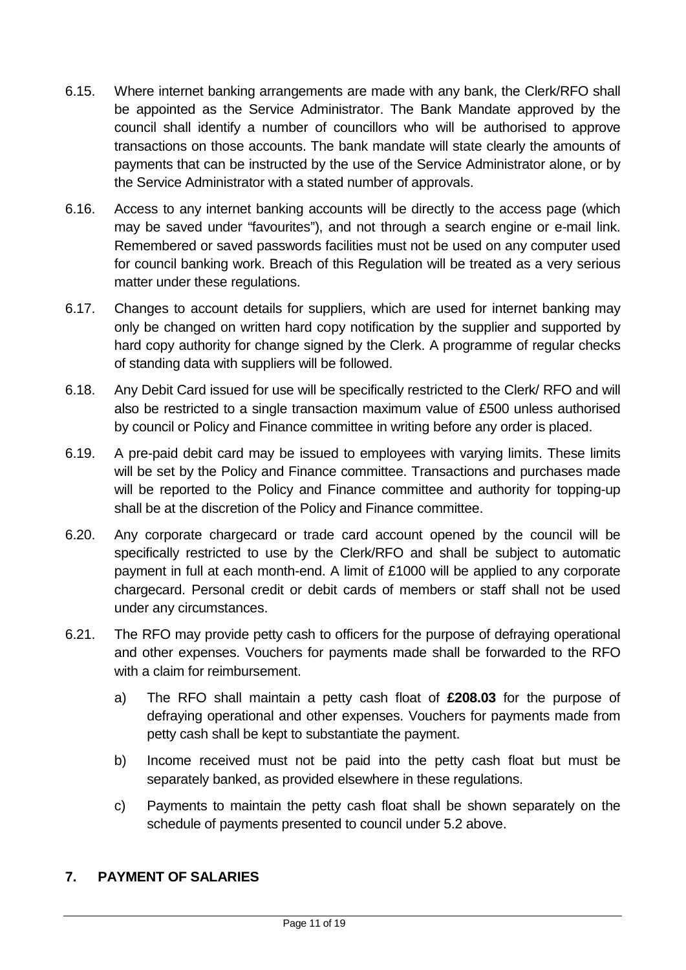- 6.15. Where internet banking arrangements are made with any bank, the Clerk/RFO shall be appointed as the Service Administrator. The Bank Mandate approved by the council shall identify a number of councillors who will be authorised to approve transactions on those accounts. The bank mandate will state clearly the amounts of payments that can be instructed by the use of the Service Administrator alone, or by the Service Administrator with a stated number of approvals.
- 6.16. Access to any internet banking accounts will be directly to the access page (which may be saved under "favourites"), and not through a search engine or e-mail link. Remembered or saved passwords facilities must not be used on any computer used for council banking work. Breach of this Regulation will be treated as a very serious matter under these regulations.
- 6.17. Changes to account details for suppliers, which are used for internet banking may only be changed on written hard copy notification by the supplier and supported by hard copy authority for change signed by the Clerk. A programme of regular checks of standing data with suppliers will be followed.
- 6.18. Any Debit Card issued for use will be specifically restricted to the Clerk/ RFO and will also be restricted to a single transaction maximum value of £500 unless authorised by council or Policy and Finance committee in writing before any order is placed.
- 6.19. A pre-paid debit card may be issued to employees with varying limits. These limits will be set by the Policy and Finance committee. Transactions and purchases made will be reported to the Policy and Finance committee and authority for topping-up shall be at the discretion of the Policy and Finance committee.
- 6.20. Any corporate chargecard or trade card account opened by the council will be specifically restricted to use by the Clerk/RFO and shall be subject to automatic payment in full at each month-end. A limit of £1000 will be applied to any corporate chargecard. Personal credit or debit cards of members or staff shall not be used under any circumstances.
- 6.21. The RFO may provide petty cash to officers for the purpose of defraying operational and other expenses. Vouchers for payments made shall be forwarded to the RFO with a claim for reimbursement.
	- a) The RFO shall maintain a petty cash float of **£208.03** for the purpose of defraying operational and other expenses. Vouchers for payments made from petty cash shall be kept to substantiate the payment.
	- b) Income received must not be paid into the petty cash float but must be separately banked, as provided elsewhere in these regulations.
	- c) Payments to maintain the petty cash float shall be shown separately on the schedule of payments presented to council under 5.2 above.

# <span id="page-10-0"></span>**7. PAYMENT OF SALARIES**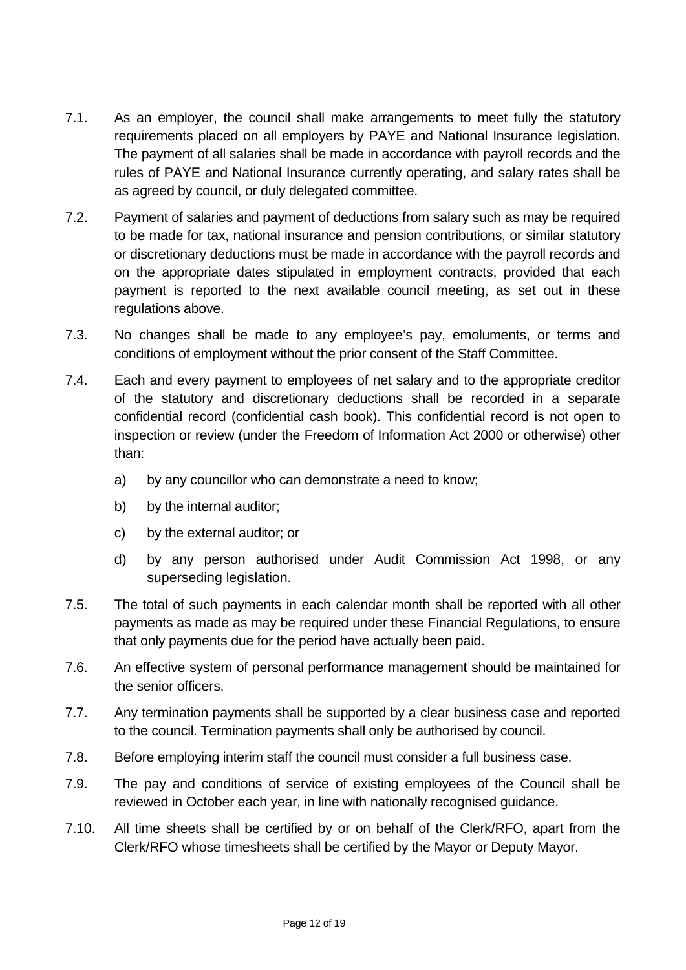- 7.1. As an employer, the council shall make arrangements to meet fully the statutory requirements placed on all employers by PAYE and National Insurance legislation. The payment of all salaries shall be made in accordance with payroll records and the rules of PAYE and National Insurance currently operating, and salary rates shall be as agreed by council, or duly delegated committee.
- 7.2. Payment of salaries and payment of deductions from salary such as may be required to be made for tax, national insurance and pension contributions, or similar statutory or discretionary deductions must be made in accordance with the payroll records and on the appropriate dates stipulated in employment contracts, provided that each payment is reported to the next available council meeting, as set out in these regulations above.
- 7.3. No changes shall be made to any employee's pay, emoluments, or terms and conditions of employment without the prior consent of the Staff Committee.
- 7.4. Each and every payment to employees of net salary and to the appropriate creditor of the statutory and discretionary deductions shall be recorded in a separate confidential record (confidential cash book). This confidential record is not open to inspection or review (under the Freedom of Information Act 2000 or otherwise) other than:
	- a) by any councillor who can demonstrate a need to know;
	- b) by the internal auditor;
	- c) by the external auditor; or
	- d) by any person authorised under Audit Commission Act 1998, or any superseding legislation.
- 7.5. The total of such payments in each calendar month shall be reported with all other payments as made as may be required under these Financial Regulations, to ensure that only payments due for the period have actually been paid.
- 7.6. An effective system of personal performance management should be maintained for the senior officers.
- 7.7. Any termination payments shall be supported by a clear business case and reported to the council. Termination payments shall only be authorised by council.
- 7.8. Before employing interim staff the council must consider a full business case.
- 7.9. The pay and conditions of service of existing employees of the Council shall be reviewed in October each year, in line with nationally recognised guidance.
- 7.10. All time sheets shall be certified by or on behalf of the Clerk/RFO, apart from the Clerk/RFO whose timesheets shall be certified by the Mayor or Deputy Mayor.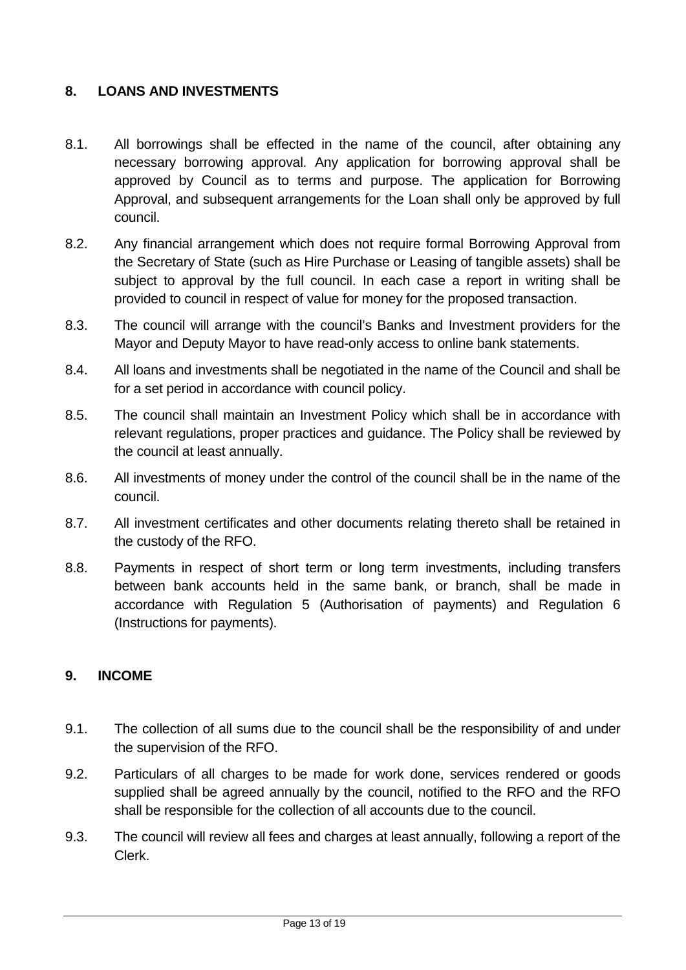## <span id="page-12-0"></span>**8. LOANS AND INVESTMENTS**

- 8.1. All borrowings shall be effected in the name of the council, after obtaining any necessary borrowing approval. Any application for borrowing approval shall be approved by Council as to terms and purpose. The application for Borrowing Approval, and subsequent arrangements for the Loan shall only be approved by full council.
- 8.2. Any financial arrangement which does not require formal Borrowing Approval from the Secretary of State (such as Hire Purchase or Leasing of tangible assets) shall be subject to approval by the full council. In each case a report in writing shall be provided to council in respect of value for money for the proposed transaction.
- 8.3. The council will arrange with the council's Banks and Investment providers for the Mayor and Deputy Mayor to have read-only access to online bank statements.
- 8.4. All loans and investments shall be negotiated in the name of the Council and shall be for a set period in accordance with council policy.
- 8.5. The council shall maintain an Investment Policy which shall be in accordance with relevant regulations, proper practices and guidance. The Policy shall be reviewed by the council at least annually.
- 8.6. All investments of money under the control of the council shall be in the name of the council.
- 8.7. All investment certificates and other documents relating thereto shall be retained in the custody of the RFO.
- 8.8. Payments in respect of short term or long term investments, including transfers between bank accounts held in the same bank, or branch, shall be made in accordance with Regulation 5 (Authorisation of payments) and Regulation 6 (Instructions for payments).

#### <span id="page-12-1"></span>**9. INCOME**

- 9.1. The collection of all sums due to the council shall be the responsibility of and under the supervision of the RFO.
- 9.2. Particulars of all charges to be made for work done, services rendered or goods supplied shall be agreed annually by the council, notified to the RFO and the RFO shall be responsible for the collection of all accounts due to the council.
- 9.3. The council will review all fees and charges at least annually, following a report of the Clerk.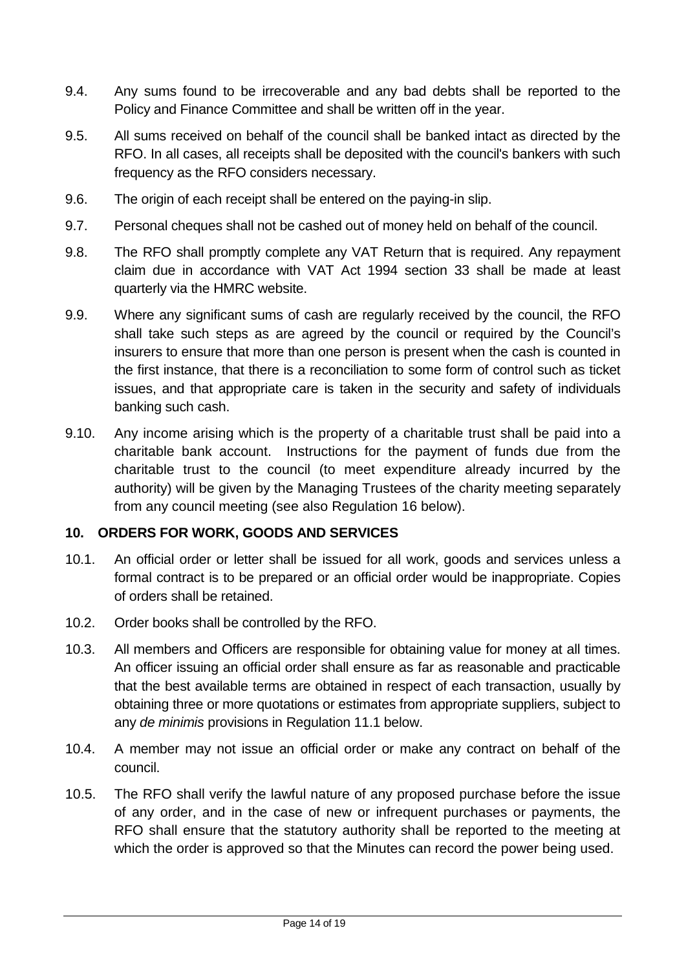- 9.4. Any sums found to be irrecoverable and any bad debts shall be reported to the Policy and Finance Committee and shall be written off in the year.
- 9.5. All sums received on behalf of the council shall be banked intact as directed by the RFO. In all cases, all receipts shall be deposited with the council's bankers with such frequency as the RFO considers necessary.
- 9.6. The origin of each receipt shall be entered on the paying-in slip.
- 9.7. Personal cheques shall not be cashed out of money held on behalf of the council.
- 9.8. The RFO shall promptly complete any VAT Return that is required. Any repayment claim due in accordance with VAT Act 1994 section 33 shall be made at least quarterly via the HMRC website.
- 9.9. Where any significant sums of cash are regularly received by the council, the RFO shall take such steps as are agreed by the council or required by the Council's insurers to ensure that more than one person is present when the cash is counted in the first instance, that there is a reconciliation to some form of control such as ticket issues, and that appropriate care is taken in the security and safety of individuals banking such cash.
- 9.10. Any income arising which is the property of a charitable trust shall be paid into a charitable bank account. Instructions for the payment of funds due from the charitable trust to the council (to meet expenditure already incurred by the authority) will be given by the Managing Trustees of the charity meeting separately from any council meeting (see also Regulation 16 below).

#### <span id="page-13-0"></span>**10. ORDERS FOR WORK, GOODS AND SERVICES**

- 10.1. An official order or letter shall be issued for all work, goods and services unless a formal contract is to be prepared or an official order would be inappropriate. Copies of orders shall be retained.
- 10.2. Order books shall be controlled by the RFO.
- 10.3. All members and Officers are responsible for obtaining value for money at all times. An officer issuing an official order shall ensure as far as reasonable and practicable that the best available terms are obtained in respect of each transaction, usually by obtaining three or more quotations or estimates from appropriate suppliers, subject to any *de minimis* provisions in Regulation 11.1 below.
- 10.4. A member may not issue an official order or make any contract on behalf of the council.
- 10.5. The RFO shall verify the lawful nature of any proposed purchase before the issue of any order, and in the case of new or infrequent purchases or payments, the RFO shall ensure that the statutory authority shall be reported to the meeting at which the order is approved so that the Minutes can record the power being used.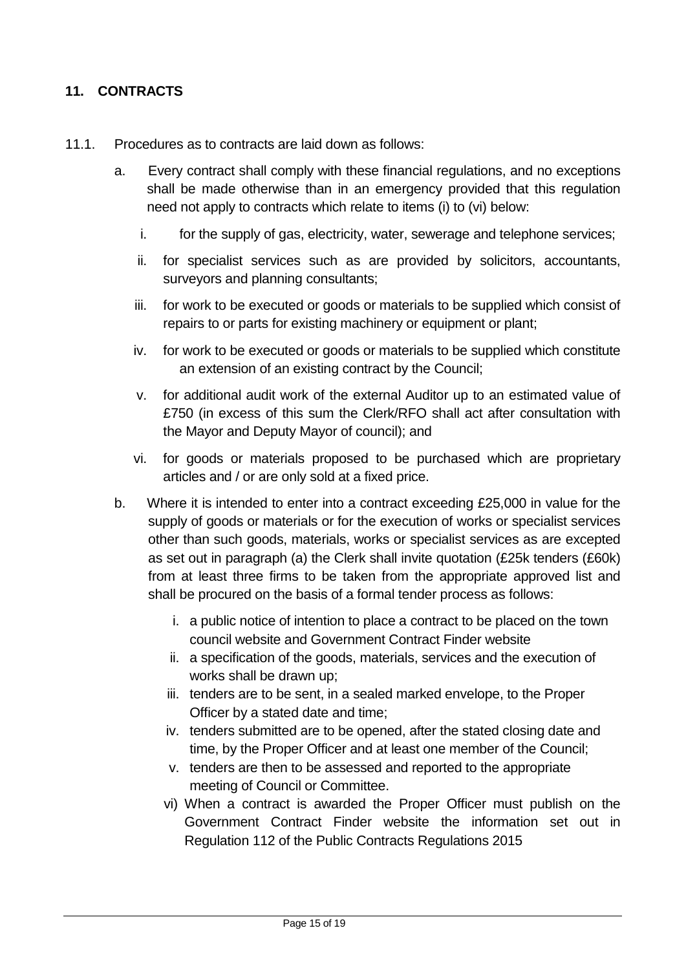# <span id="page-14-0"></span>**11. CONTRACTS**

- 11.1. Procedures as to contracts are laid down as follows:
	- a. Every contract shall comply with these financial regulations, and no exceptions shall be made otherwise than in an emergency provided that this regulation need not apply to contracts which relate to items (i) to (vi) below:
		- i. for the supply of gas, electricity, water, sewerage and telephone services;
		- ii. for specialist services such as are provided by solicitors, accountants, surveyors and planning consultants;
		- iii. for work to be executed or goods or materials to be supplied which consist of repairs to or parts for existing machinery or equipment or plant;
		- iv. for work to be executed or goods or materials to be supplied which constitute an extension of an existing contract by the Council;
		- v. for additional audit work of the external Auditor up to an estimated value of £750 (in excess of this sum the Clerk/RFO shall act after consultation with the Mayor and Deputy Mayor of council); and
		- vi. for goods or materials proposed to be purchased which are proprietary articles and / or are only sold at a fixed price.
	- b. Where it is intended to enter into a contract exceeding £25,000 in value for the supply of goods or materials or for the execution of works or specialist services other than such goods, materials, works or specialist services as are excepted as set out in paragraph (a) the Clerk shall invite quotation (£25k tenders (£60k) from at least three firms to be taken from the appropriate approved list and shall be procured on the basis of a formal tender process as follows:
		- i. a public notice of intention to place a contract to be placed on the town council website and Government Contract Finder website
		- ii. a specification of the goods, materials, services and the execution of works shall be drawn up;
		- iii. tenders are to be sent, in a sealed marked envelope, to the Proper Officer by a stated date and time;
		- iv. tenders submitted are to be opened, after the stated closing date and time, by the Proper Officer and at least one member of the Council;
		- v. tenders are then to be assessed and reported to the appropriate meeting of Council or Committee.
		- vi) When a contract is awarded the Proper Officer must publish on the Government Contract Finder website the information set out in Regulation 112 of the Public Contracts Regulations 2015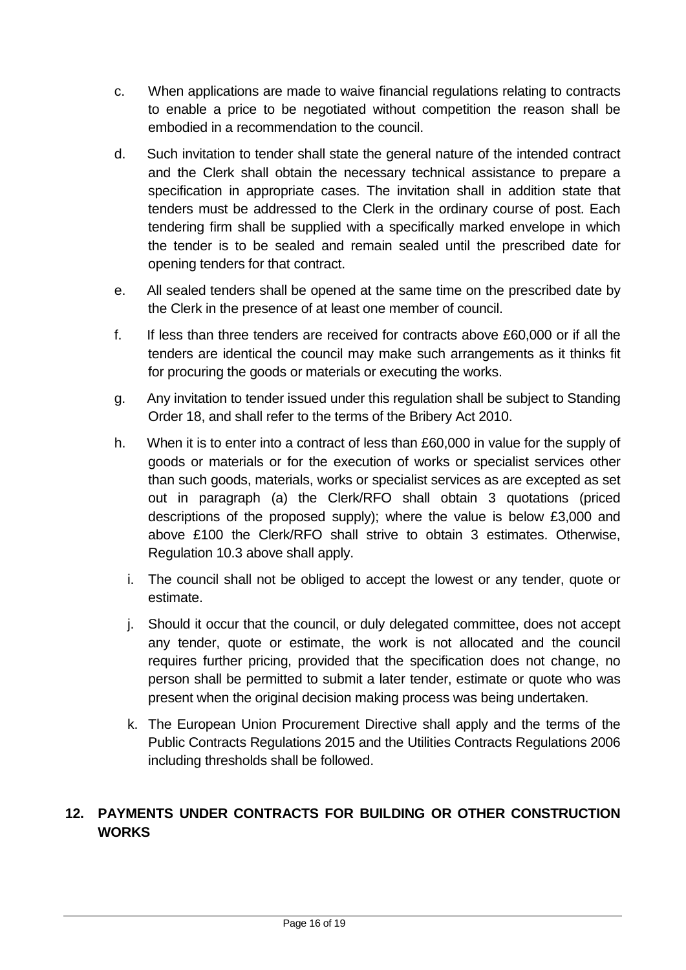- c. When applications are made to waive financial regulations relating to contracts to enable a price to be negotiated without competition the reason shall be embodied in a recommendation to the council.
- d. Such invitation to tender shall state the general nature of the intended contract and the Clerk shall obtain the necessary technical assistance to prepare a specification in appropriate cases. The invitation shall in addition state that tenders must be addressed to the Clerk in the ordinary course of post. Each tendering firm shall be supplied with a specifically marked envelope in which the tender is to be sealed and remain sealed until the prescribed date for opening tenders for that contract.
- e. All sealed tenders shall be opened at the same time on the prescribed date by the Clerk in the presence of at least one member of council.
- f. If less than three tenders are received for contracts above £60,000 or if all the tenders are identical the council may make such arrangements as it thinks fit for procuring the goods or materials or executing the works.
- g. Any invitation to tender issued under this regulation shall be subject to Standing Order 18, and shall refer to the terms of the Bribery Act 2010.
- h. When it is to enter into a contract of less than £60,000 in value for the supply of goods or materials or for the execution of works or specialist services other than such goods, materials, works or specialist services as are excepted as set out in paragraph (a) the Clerk/RFO shall obtain 3 quotations (priced descriptions of the proposed supply); where the value is below £3,000 and above £100 the Clerk/RFO shall strive to obtain 3 estimates. Otherwise, Regulation 10.3 above shall apply.
	- i. The council shall not be obliged to accept the lowest or any tender, quote or estimate.
	- j. Should it occur that the council, or duly delegated committee, does not accept any tender, quote or estimate, the work is not allocated and the council requires further pricing, provided that the specification does not change, no person shall be permitted to submit a later tender, estimate or quote who was present when the original decision making process was being undertaken.
	- k. The European Union Procurement Directive shall apply and the terms of the Public Contracts Regulations 2015 and the Utilities Contracts Regulations 2006 including thresholds shall be followed.

# <span id="page-15-0"></span>**12. PAYMENTS UNDER CONTRACTS FOR BUILDING OR OTHER CONSTRUCTION WORKS**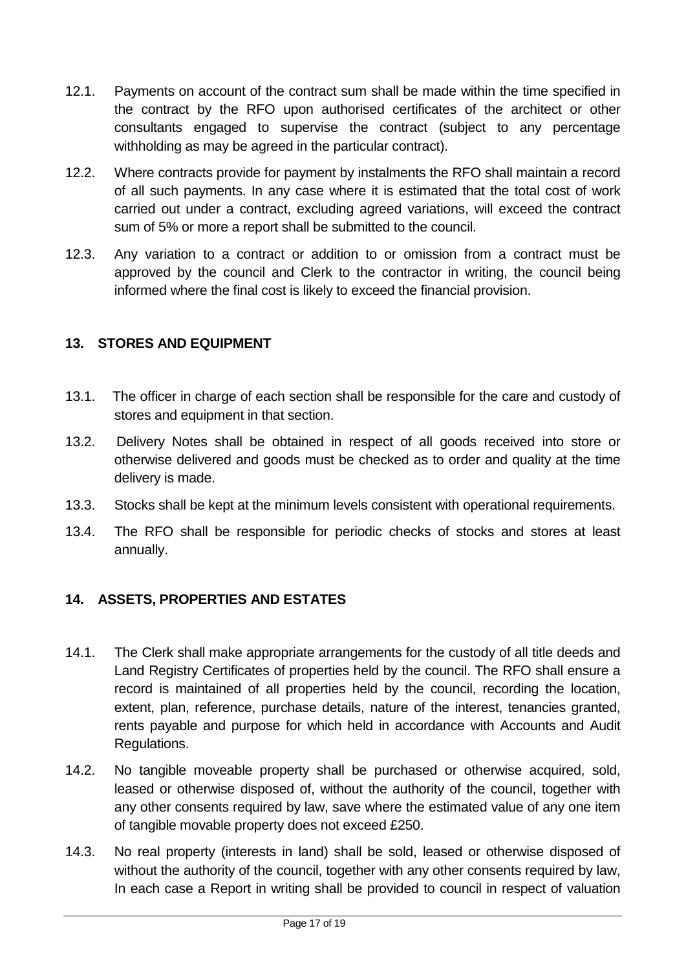- 12.1. Payments on account of the contract sum shall be made within the time specified in the contract by the RFO upon authorised certificates of the architect or other consultants engaged to supervise the contract (subject to any percentage withholding as may be agreed in the particular contract).
- 12.2. Where contracts provide for payment by instalments the RFO shall maintain a record of all such payments. In any case where it is estimated that the total cost of work carried out under a contract, excluding agreed variations, will exceed the contract sum of 5% or more a report shall be submitted to the council.
- 12.3. Any variation to a contract or addition to or omission from a contract must be approved by the council and Clerk to the contractor in writing, the council being informed where the final cost is likely to exceed the financial provision.

# <span id="page-16-0"></span>**13. STORES AND EQUIPMENT**

- 13.1. The officer in charge of each section shall be responsible for the care and custody of stores and equipment in that section.
- 13.2. Delivery Notes shall be obtained in respect of all goods received into store or otherwise delivered and goods must be checked as to order and quality at the time delivery is made.
- 13.3. Stocks shall be kept at the minimum levels consistent with operational requirements.
- 13.4. The RFO shall be responsible for periodic checks of stocks and stores at least annually.

# <span id="page-16-1"></span>**14. ASSETS, PROPERTIES AND ESTATES**

- 14.1. The Clerk shall make appropriate arrangements for the custody of all title deeds and Land Registry Certificates of properties held by the council. The RFO shall ensure a record is maintained of all properties held by the council, recording the location, extent, plan, reference, purchase details, nature of the interest, tenancies granted, rents payable and purpose for which held in accordance with Accounts and Audit Regulations.
- 14.2. No tangible moveable property shall be purchased or otherwise acquired, sold, leased or otherwise disposed of, without the authority of the council, together with any other consents required by law, save where the estimated value of any one item of tangible movable property does not exceed £250.
- 14.3. No real property (interests in land) shall be sold, leased or otherwise disposed of without the authority of the council, together with any other consents required by law, In each case a Report in writing shall be provided to council in respect of valuation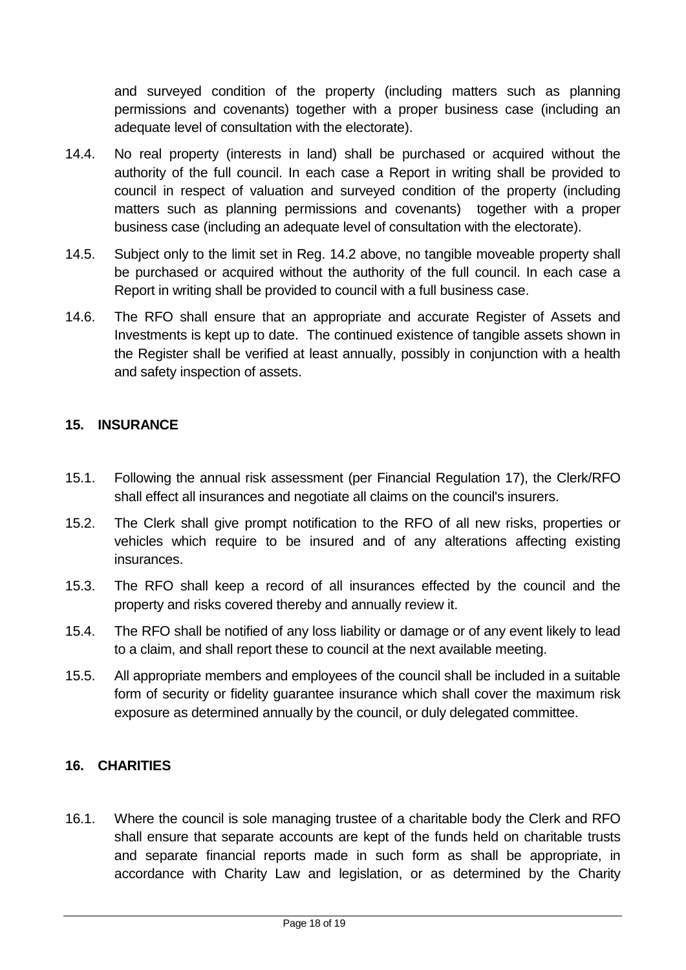and surveyed condition of the property (including matters such as planning permissions and covenants) together with a proper business case (including an adequate level of consultation with the electorate).

- 14.4. No real property (interests in land) shall be purchased or acquired without the authority of the full council. In each case a Report in writing shall be provided to council in respect of valuation and surveyed condition of the property (including matters such as planning permissions and covenants) together with a proper business case (including an adequate level of consultation with the electorate).
- 14.5. Subject only to the limit set in Reg. 14.2 above, no tangible moveable property shall be purchased or acquired without the authority of the full council. In each case a Report in writing shall be provided to council with a full business case.
- 14.6. The RFO shall ensure that an appropriate and accurate Register of Assets and Investments is kept up to date. The continued existence of tangible assets shown in the Register shall be verified at least annually, possibly in conjunction with a health and safety inspection of assets.

# <span id="page-17-0"></span>**15. INSURANCE**

- 15.1. Following the annual risk assessment (per Financial Regulation 17), the Clerk/RFO shall effect all insurances and negotiate all claims on the council's insurers.
- 15.2. The Clerk shall give prompt notification to the RFO of all new risks, properties or vehicles which require to be insured and of any alterations affecting existing insurances.
- 15.3. The RFO shall keep a record of all insurances effected by the council and the property and risks covered thereby and annually review it.
- 15.4. The RFO shall be notified of any loss liability or damage or of any event likely to lead to a claim, and shall report these to council at the next available meeting.
- 15.5. All appropriate members and employees of the council shall be included in a suitable form of security or fidelity guarantee insurance which shall cover the maximum risk exposure as determined annually by the council, or duly delegated committee.

### <span id="page-17-1"></span>**16. CHARITIES**

16.1. Where the council is sole managing trustee of a charitable body the Clerk and RFO shall ensure that separate accounts are kept of the funds held on charitable trusts and separate financial reports made in such form as shall be appropriate, in accordance with Charity Law and legislation, or as determined by the Charity